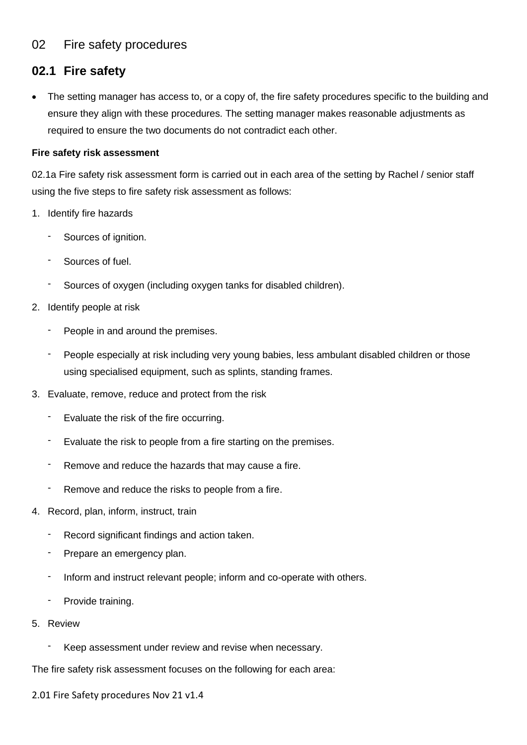### 02 Fire safety procedures

## **02.1 Fire safety**

The setting manager has access to, or a copy of, the fire safety procedures specific to the building and ensure they align with these procedures. The setting manager makes reasonable adjustments as required to ensure the two documents do not contradict each other.

#### **Fire safety risk assessment**

02.1a Fire safety risk assessment form is carried out in each area of the setting by Rachel / senior staff using the five steps to fire safety risk assessment as follows:

- 1. Identify fire hazards
	- Sources of ignition.
	- Sources of fuel.
	- Sources of oxygen (including oxygen tanks for disabled children).
- 2. Identify people at risk
	- People in and around the premises.
	- People especially at risk including very young babies, less ambulant disabled children or those using specialised equipment, such as splints, standing frames.
- 3. Evaluate, remove, reduce and protect from the risk
	- Evaluate the risk of the fire occurring.
	- Evaluate the risk to people from a fire starting on the premises.
	- Remove and reduce the hazards that may cause a fire.
	- Remove and reduce the risks to people from a fire.
- 4. Record, plan, inform, instruct, train
	- Record significant findings and action taken.
	- Prepare an emergency plan.
	- Inform and instruct relevant people; inform and co-operate with others.
	- Provide training.
- 5. Review
	- Keep assessment under review and revise when necessary.

The fire safety risk assessment focuses on the following for each area:

2.01 Fire Safety procedures Nov 21 v1.4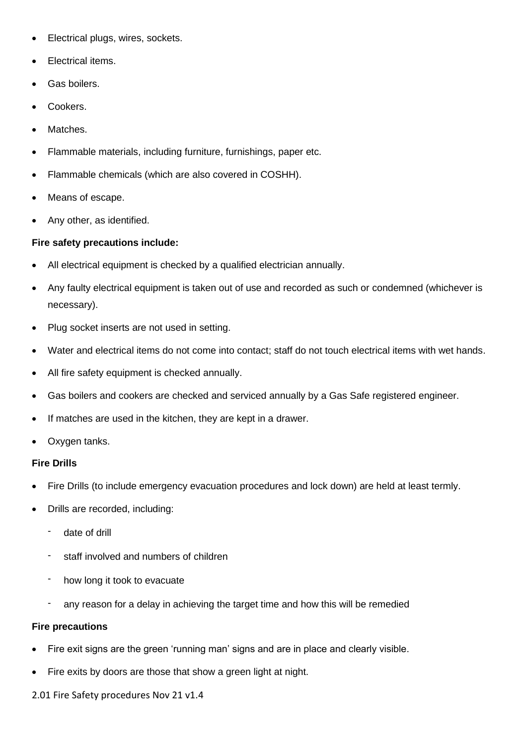- Electrical plugs, wires, sockets.
- Electrical items.
- Gas boilers.
- Cookers.
- Matches.
- Flammable materials, including furniture, furnishings, paper etc.
- Flammable chemicals (which are also covered in COSHH).
- Means of escape.
- Any other, as identified.

#### **Fire safety precautions include:**

- All electrical equipment is checked by a qualified electrician annually.
- Any faulty electrical equipment is taken out of use and recorded as such or condemned (whichever is necessary).
- Plug socket inserts are not used in setting.
- Water and electrical items do not come into contact; staff do not touch electrical items with wet hands.
- All fire safety equipment is checked annually.
- Gas boilers and cookers are checked and serviced annually by a Gas Safe registered engineer.
- If matches are used in the kitchen, they are kept in a drawer.
- Oxygen tanks.

#### **Fire Drills**

- Fire Drills (to include emergency evacuation procedures and lock down) are held at least termly.
- Drills are recorded, including:
	- date of drill
	- staff involved and numbers of children
	- how long it took to evacuate
	- any reason for a delay in achieving the target time and how this will be remedied

#### **Fire precautions**

- Fire exit signs are the green 'running man' signs and are in place and clearly visible.
- Fire exits by doors are those that show a green light at night.

2.01 Fire Safety procedures Nov 21 v1.4